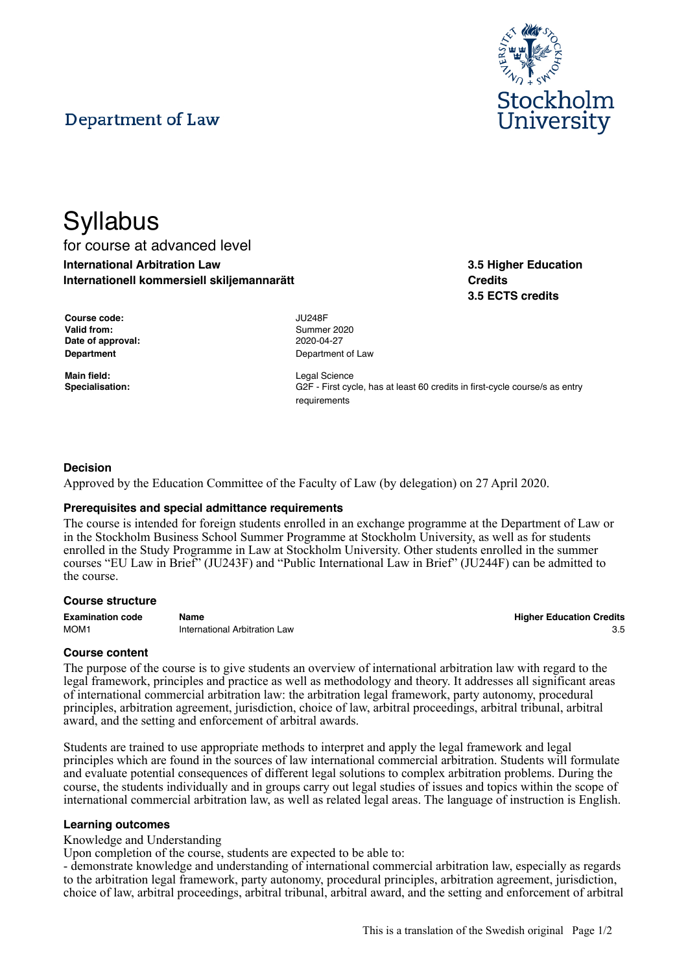# Department of Law



**3.5 Higher Education**

**3.5 ECTS credits**

**Credits**

# **Syllabus** for course at advanced level **International Arbitration Law Internationell kommersiell skiljemannarätt**

**Course code:** JU248F **Valid from:** Summer 2020 **Date of approval:** 2020-04-27

**Main field:** Legal Science

**Department** Department of Law

**Specialisation:** G2F - First cycle, has at least 60 credits in first-cycle course/s as entry requirements

# **Decision**

Approved by the Education Committee of the Faculty of Law (by delegation) on 27 April 2020.

# **Prerequisites and special admittance requirements**

The course is intended for foreign students enrolled in an exchange programme at the Department of Law or in the Stockholm Business School Summer Programme at Stockholm University, as well as for students enrolled in the Study Programme in Law at Stockholm University. Other students enrolled in the summer courses "EU Law in Brief" (JU243F) and "Public International Law in Brief" (JU244F) can be admitted to the course.

#### **Course structure**

| <b>Examination code</b> | Name                          | <b>Higher Education Credits</b> |
|-------------------------|-------------------------------|---------------------------------|
| MOM <sub>1</sub>        | International Arbitration Law |                                 |

# **Course content**

The purpose of the course is to give students an overview of international arbitration law with regard to the legal framework, principles and practice as well as methodology and theory. It addresses all significant areas of international commercial arbitration law: the arbitration legal framework, party autonomy, procedural principles, arbitration agreement, jurisdiction, choice of law, arbitral proceedings, arbitral tribunal, arbitral award, and the setting and enforcement of arbitral awards.

Students are trained to use appropriate methods to interpret and apply the legal framework and legal principles which are found in the sources of law international commercial arbitration. Students will formulate and evaluate potential consequences of different legal solutions to complex arbitration problems. During the course, the students individually and in groups carry out legal studies of issues and topics within the scope of international commercial arbitration law, as well as related legal areas. The language of instruction is English.

# **Learning outcomes**

Knowledge and Understanding

Upon completion of the course, students are expected to be able to:

- demonstrate knowledge and understanding of international commercial arbitration law, especially as regards to the arbitration legal framework, party autonomy, procedural principles, arbitration agreement, jurisdiction, choice of law, arbitral proceedings, arbitral tribunal, arbitral award, and the setting and enforcement of arbitral